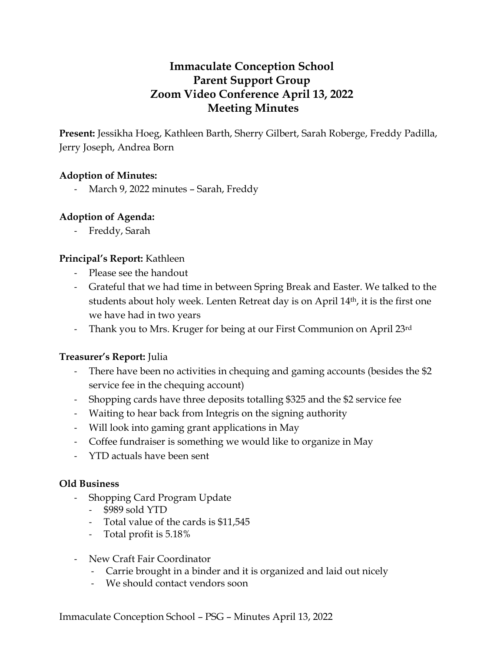# **Immaculate Conception School Parent Support Group Zoom Video Conference April 13, 2022 Meeting Minutes**

**Present:** Jessikha Hoeg, Kathleen Barth, Sherry Gilbert, Sarah Roberge, Freddy Padilla, Jerry Joseph, Andrea Born

#### **Adoption of Minutes:**

March 9, 2022 minutes - Sarah, Freddy

#### **Adoption of Agenda:**

- Freddy, Sarah

#### **Principal's Report:** Kathleen

- Please see the handout
- Grateful that we had time in between Spring Break and Easter. We talked to the students about holy week. Lenten Retreat day is on April 14th, it is the first one we have had in two years
- Thank you to Mrs. Kruger for being at our First Communion on April 23rd

#### **Treasurer's Report:** Julia

- There have been no activities in chequing and gaming accounts (besides the \$2 service fee in the chequing account)
- Shopping cards have three deposits totalling \$325 and the \$2 service fee
- Waiting to hear back from Integris on the signing authority
- Will look into gaming grant applications in May
- Coffee fundraiser is something we would like to organize in May
- YTD actuals have been sent

#### **Old Business**

- Shopping Card Program Update
	- \$989 sold YTD
	- Total value of the cards is \$11,545
	- Total profit is 5.18%
- New Craft Fair Coordinator
	- Carrie brought in a binder and it is organized and laid out nicely
	- We should contact vendors soon